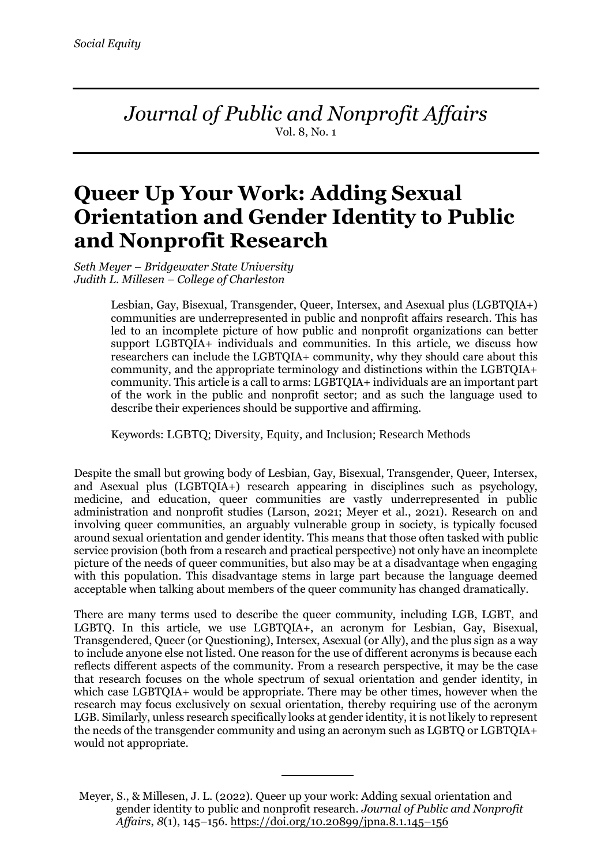*Journal of Public and Nonprofit Affairs* Vol. 8, No. 1

# **Queer Up Your Work: Adding Sexual Orientation and Gender Identity to Public and Nonprofit Research**

*Seth Meyer* – *Bridgewater State University Judith L. Millesen – College of Charleston*

> Lesbian, Gay, Bisexual, Transgender, Queer, Intersex, and Asexual plus (LGBTQIA+) communities are underrepresented in public and nonprofit affairs research. This has led to an incomplete picture of how public and nonprofit organizations can better support LGBTQIA+ individuals and communities. In this article, we discuss how researchers can include the LGBTQIA+ community, why they should care about this community, and the appropriate terminology and distinctions within the LGBTQIA+ community. This article is a call to arms: LGBTQIA+ individuals are an important part of the work in the public and nonprofit sector; and as such the language used to describe their experiences should be supportive and affirming.

Keywords: LGBTQ; Diversity, Equity, and Inclusion; Research Methods

Despite the small but growing body of Lesbian, Gay, Bisexual, Transgender, Queer, Intersex, and Asexual plus (LGBTQIA+) research appearing in disciplines such as psychology, medicine, and education, queer communities are vastly underrepresented in public administration and nonprofit studies (Larson, 2021; Meyer et al., 2021). Research on and involving queer communities, an arguably vulnerable group in society, is typically focused around sexual orientation and gender identity. This means that those often tasked with public service provision (both from a research and practical perspective) not only have an incomplete picture of the needs of queer communities, but also may be at a disadvantage when engaging with this population. This disadvantage stems in large part because the language deemed acceptable when talking about members of the queer community has changed dramatically.

There are many terms used to describe the queer community, including LGB, LGBT, and LGBTQ. In this article, we use LGBTQIA+, an acronym for Lesbian, Gay, Bisexual, Transgendered, Queer (or Questioning), Intersex, Asexual (or Ally), and the plus sign as a way to include anyone else not listed. One reason for the use of different acronyms is because each reflects different aspects of the community. From a research perspective, it may be the case that research focuses on the whole spectrum of sexual orientation and gender identity, in which case LGBTQIA+ would be appropriate. There may be other times, however when the research may focus exclusively on sexual orientation, thereby requiring use of the acronym LGB. Similarly, unless research specifically looks at gender identity, it is not likely to represent the needs of the transgender community and using an acronym such as LGBTQ or LGBTQIA+ would not appropriate.

Meyer, S., & Millesen, J. L. (2022). Queer up your work: Adding sexual orientation and gender identity to public and nonprofit research. *Journal of Public and Nonprofit Affairs*, *8*(1), 145–156. https://doi.org/10.20899/jpna.8.1.145–156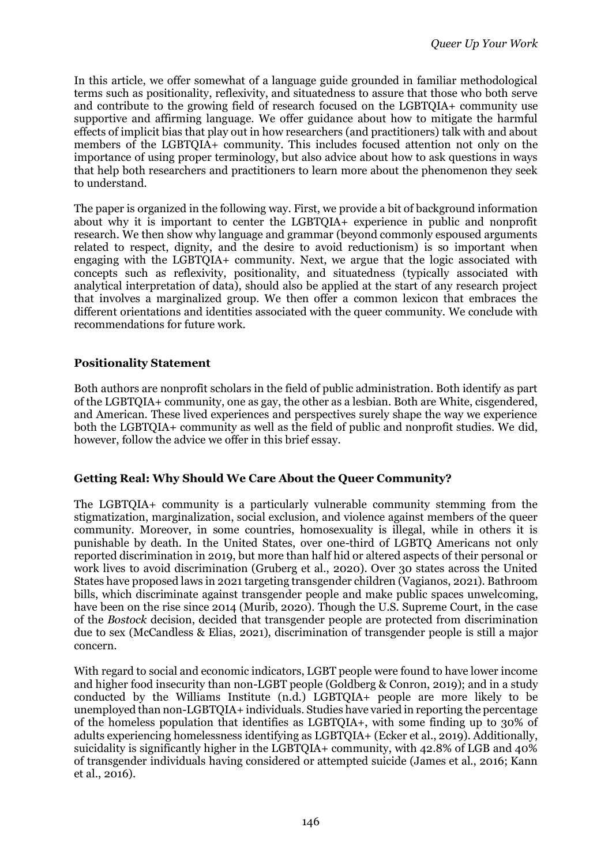In this article, we offer somewhat of a language guide grounded in familiar methodological terms such as positionality, reflexivity, and situatedness to assure that those who both serve and contribute to the growing field of research focused on the LGBTQIA+ community use supportive and affirming language. We offer guidance about how to mitigate the harmful effects of implicit bias that play out in how researchers (and practitioners) talk with and about members of the LGBTQIA+ community. This includes focused attention not only on the importance of using proper terminology, but also advice about how to ask questions in ways that help both researchers and practitioners to learn more about the phenomenon they seek to understand.

The paper is organized in the following way. First, we provide a bit of background information about why it is important to center the LGBTQIA+ experience in public and nonprofit research. We then show why language and grammar (beyond commonly espoused arguments related to respect, dignity, and the desire to avoid reductionism) is so important when engaging with the LGBTQIA+ community. Next, we argue that the logic associated with concepts such as reflexivity, positionality, and situatedness (typically associated with analytical interpretation of data), should also be applied at the start of any research project that involves a marginalized group. We then offer a common lexicon that embraces the different orientations and identities associated with the queer community. We conclude with recommendations for future work.

# **Positionality Statement**

Both authors are nonprofit scholars in the field of public administration. Both identify as part of the LGBTQIA+ community, one as gay, the other as a lesbian. Both are White, cisgendered, and American. These lived experiences and perspectives surely shape the way we experience both the LGBTQIA+ community as well as the field of public and nonprofit studies. We did, however, follow the advice we offer in this brief essay.

## **Getting Real: Why Should We Care About the Queer Community?**

The LGBTQIA+ community is a particularly vulnerable community stemming from the stigmatization, marginalization, social exclusion, and violence against members of the queer community. Moreover, in some countries, homosexuality is illegal, while in others it is punishable by death. In the United States, over one-third of LGBTQ Americans not only reported discrimination in 2019, but more than half hid or altered aspects of their personal or work lives to avoid discrimination (Gruberg et al., 2020). Over 30 states across the United States have proposed laws in 2021 targeting transgender children (Vagianos, 2021). Bathroom bills, which discriminate against transgender people and make public spaces unwelcoming, have been on the rise since 2014 (Murib, 2020). Though the U.S. Supreme Court, in the case of the *Bostock* decision, decided that transgender people are protected from discrimination due to sex (McCandless & Elias, 2021), discrimination of transgender people is still a major concern.

With regard to social and economic indicators, LGBT people were found to have lower income and higher food insecurity than non-LGBT people (Goldberg & Conron, 2019); and in a study conducted by the Williams Institute (n.d.) LGBTQIA+ people are more likely to be unemployed than non-LGBTQIA+ individuals. Studies have varied in reporting the percentage of the homeless population that identifies as LGBTQIA+, with some finding up to 30% of adults experiencing homelessness identifying as LGBTQIA+ (Ecker et al., 2019). Additionally, suicidality is significantly higher in the LGBTQIA+ community, with 42.8% of LGB and 40% of transgender individuals having considered or attempted suicide (James et al., 2016; Kann et al., 2016).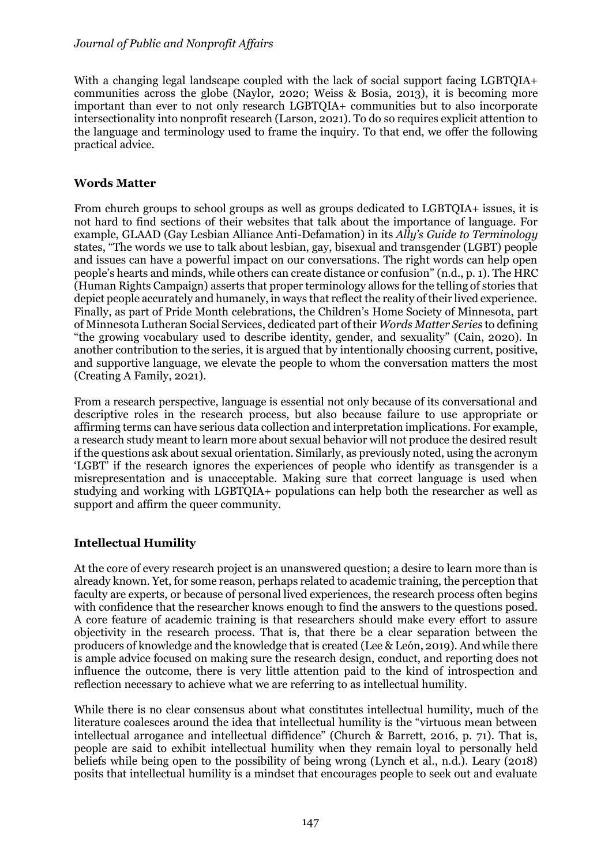With a changing legal landscape coupled with the lack of social support facing LGBTOIA+ communities across the globe (Naylor, 2020; Weiss & Bosia, 2013), it is becoming more important than ever to not only research LGBTQIA+ communities but to also incorporate intersectionality into nonprofit research (Larson, 2021). To do so requires explicit attention to the language and terminology used to frame the inquiry. To that end, we offer the following practical advice.

# **Words Matter**

From church groups to school groups as well as groups dedicated to LGBTQIA+ issues, it is not hard to find sections of their websites that talk about the importance of language. For example, GLAAD (Gay Lesbian Alliance Anti-Defamation) in its *Ally's Guide to Terminology* states, "The words we use to talk about lesbian, gay, bisexual and transgender (LGBT) people and issues can have a powerful impact on our conversations. The right words can help open people's hearts and minds, while others can create distance or confusion" (n.d., p. 1). The HRC (Human Rights Campaign) asserts that proper terminology allows for the telling of stories that depict people accurately and humanely, in ways that reflect the reality of their lived experience. Finally, as part of Pride Month celebrations, the Children's Home Society of Minnesota, part of Minnesota Lutheran Social Services, dedicated part of their *Words Matter Series* to defining "the growing vocabulary used to describe identity, gender, and sexuality" (Cain, 2020). In another contribution to the series, it is argued that by intentionally choosing current, positive, and supportive language, we elevate the people to whom the conversation matters the most (Creating A Family, 2021).

From a research perspective, language is essential not only because of its conversational and descriptive roles in the research process, but also because failure to use appropriate or affirming terms can have serious data collection and interpretation implications. For example, a research study meant to learn more about sexual behavior will not produce the desired result if the questions ask about sexual orientation. Similarly, as previously noted, using the acronym 'LGBT' if the research ignores the experiences of people who identify as transgender is a misrepresentation and is unacceptable. Making sure that correct language is used when studying and working with LGBTQIA+ populations can help both the researcher as well as support and affirm the queer community.

# **Intellectual Humility**

At the core of every research project is an unanswered question; a desire to learn more than is already known. Yet, for some reason, perhaps related to academic training, the perception that faculty are experts, or because of personal lived experiences, the research process often begins with confidence that the researcher knows enough to find the answers to the questions posed. A core feature of academic training is that researchers should make every effort to assure objectivity in the research process. That is, that there be a clear separation between the producers of knowledge and the knowledge that is created (Lee & León, 2019). And while there is ample advice focused on making sure the research design, conduct, and reporting does not influence the outcome, there is very little attention paid to the kind of introspection and reflection necessary to achieve what we are referring to as intellectual humility.

While there is no clear consensus about what constitutes intellectual humility, much of the literature coalesces around the idea that intellectual humility is the "virtuous mean between intellectual arrogance and intellectual diffidence" (Church & Barrett, 2016, p. 71). That is, people are said to exhibit intellectual humility when they remain loyal to personally held beliefs while being open to the possibility of being wrong (Lynch et al., n.d.). Leary (2018) posits that intellectual humility is a mindset that encourages people to seek out and evaluate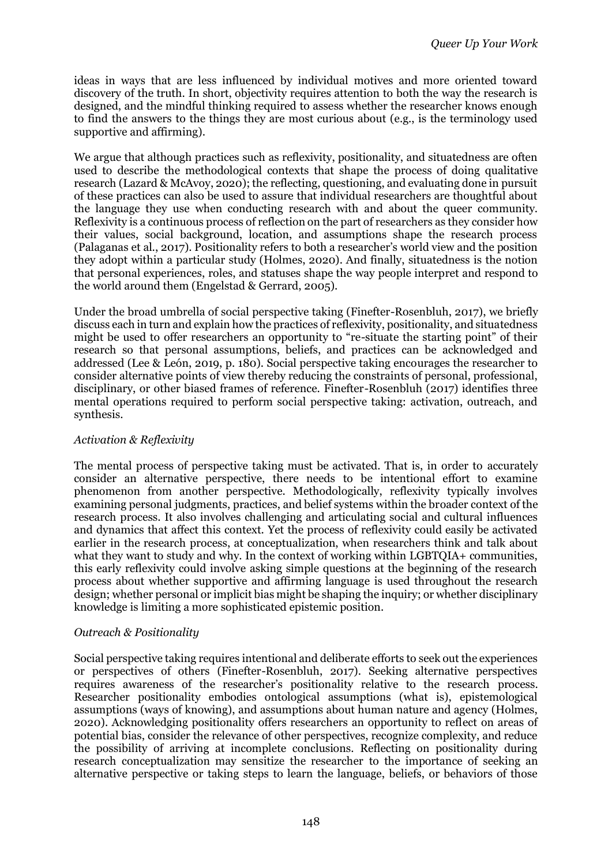ideas in ways that are less influenced by individual motives and more oriented toward discovery of the truth. In short, objectivity requires attention to both the way the research is designed, and the mindful thinking required to assess whether the researcher knows enough to find the answers to the things they are most curious about (e.g., is the terminology used supportive and affirming).

We argue that although practices such as reflexivity, positionality, and situatedness are often used to describe the methodological contexts that shape the process of doing qualitative research (Lazard & McAvoy, 2020); the reflecting, questioning, and evaluating done in pursuit of these practices can also be used to assure that individual researchers are thoughtful about the language they use when conducting research with and about the queer community. Reflexivity is a continuous process of reflection on the part of researchers as they consider how their values, social background, location, and assumptions shape the research process (Palaganas et al., 2017). Positionality refers to both a researcher's world view and the position they adopt within a particular study (Holmes, 2020). And finally, situatedness is the notion that personal experiences, roles, and statuses shape the way people interpret and respond to the world around them (Engelstad & Gerrard, 2005).

Under the broad umbrella of social perspective taking (Finefter-Rosenbluh, 2017), we briefly discuss each in turn and explain how the practices of reflexivity, positionality, and situatedness might be used to offer researchers an opportunity to "re-situate the starting point" of their research so that personal assumptions, beliefs, and practices can be acknowledged and addressed (Lee & León, 2019, p. 180). Social perspective taking encourages the researcher to consider alternative points of view thereby reducing the constraints of personal, professional, disciplinary, or other biased frames of reference. Finefter-Rosenbluh (2017) identifies three mental operations required to perform social perspective taking: activation, outreach, and synthesis.

# *Activation & Reflexivity*

The mental process of perspective taking must be activated. That is, in order to accurately consider an alternative perspective, there needs to be intentional effort to examine phenomenon from another perspective. Methodologically, reflexivity typically involves examining personal judgments, practices, and belief systems within the broader context of the research process. It also involves challenging and articulating social and cultural influences and dynamics that affect this context. Yet the process of reflexivity could easily be activated earlier in the research process, at conceptualization, when researchers think and talk about what they want to study and why. In the context of working within LGBTQIA+ communities, this early reflexivity could involve asking simple questions at the beginning of the research process about whether supportive and affirming language is used throughout the research design; whether personal or implicit bias might be shaping the inquiry; or whether disciplinary knowledge is limiting a more sophisticated epistemic position.

# *Outreach & Positionality*

Social perspective taking requires intentional and deliberate efforts to seek out the experiences or perspectives of others (Finefter-Rosenbluh, 2017). Seeking alternative perspectives requires awareness of the researcher's positionality relative to the research process. Researcher positionality embodies ontological assumptions (what is), epistemological assumptions (ways of knowing), and assumptions about human nature and agency (Holmes, 2020). Acknowledging positionality offers researchers an opportunity to reflect on areas of potential bias, consider the relevance of other perspectives, recognize complexity, and reduce the possibility of arriving at incomplete conclusions. Reflecting on positionality during research conceptualization may sensitize the researcher to the importance of seeking an alternative perspective or taking steps to learn the language, beliefs, or behaviors of those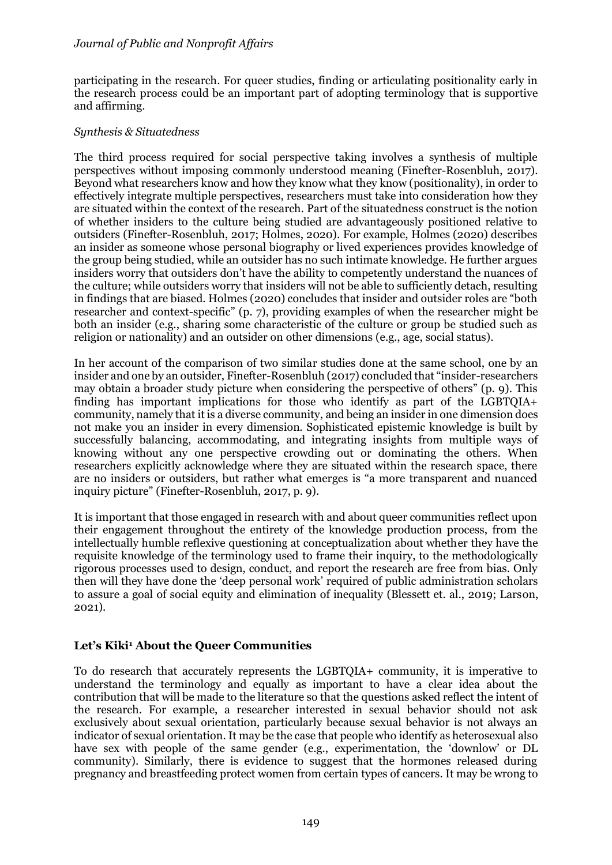participating in the research. For queer studies, finding or articulating positionality early in the research process could be an important part of adopting terminology that is supportive and affirming.

## *Synthesis & Situatedness*

The third process required for social perspective taking involves a synthesis of multiple perspectives without imposing commonly understood meaning (Finefter-Rosenbluh, 2017). Beyond what researchers know and how they know what they know (positionality), in order to effectively integrate multiple perspectives, researchers must take into consideration how they are situated within the context of the research. Part of the situatedness construct is the notion of whether insiders to the culture being studied are advantageously positioned relative to outsiders (Finefter-Rosenbluh, 2017; Holmes, 2020). For example, Holmes (2020) describes an insider as someone whose personal biography or lived experiences provides knowledge of the group being studied, while an outsider has no such intimate knowledge. He further argues insiders worry that outsiders don't have the ability to competently understand the nuances of the culture; while outsiders worry that insiders will not be able to sufficiently detach, resulting in findings that are biased. Holmes (2020) concludes that insider and outsider roles are "both researcher and context-specific" (p. 7), providing examples of when the researcher might be both an insider (e.g., sharing some characteristic of the culture or group be studied such as religion or nationality) and an outsider on other dimensions (e.g., age, social status).

In her account of the comparison of two similar studies done at the same school, one by an insider and one by an outsider, Finefter-Rosenbluh (2017) concluded that "insider-researchers may obtain a broader study picture when considering the perspective of others" (p. 9). This finding has important implications for those who identify as part of the LGBTQIA+ community, namely that it is a diverse community, and being an insider in one dimension does not make you an insider in every dimension. Sophisticated epistemic knowledge is built by successfully balancing, accommodating, and integrating insights from multiple ways of knowing without any one perspective crowding out or dominating the others. When researchers explicitly acknowledge where they are situated within the research space, there are no insiders or outsiders, but rather what emerges is "a more transparent and nuanced inquiry picture" (Finefter-Rosenbluh, 2017, p. 9).

It is important that those engaged in research with and about queer communities reflect upon their engagement throughout the entirety of the knowledge production process, from the intellectually humble reflexive questioning at conceptualization about whether they have the requisite knowledge of the terminology used to frame their inquiry, to the methodologically rigorous processes used to design, conduct, and report the research are free from bias. Only then will they have done the 'deep personal work' required of public administration scholars to assure a goal of social equity and elimination of inequality (Blessett et. al., 2019; Larson, 2021).

# **Let's Kiki<sup>1</sup> About the Queer Communities**

To do research that accurately represents the LGBTQIA+ community, it is imperative to understand the terminology and equally as important to have a clear idea about the contribution that will be made to the literature so that the questions asked reflect the intent of the research. For example, a researcher interested in sexual behavior should not ask exclusively about sexual orientation, particularly because sexual behavior is not always an indicator of sexual orientation. It may be the case that people who identify as heterosexual also have sex with people of the same gender (e.g., experimentation, the 'downlow' or DL community). Similarly, there is evidence to suggest that the hormones released during pregnancy and breastfeeding protect women from certain types of cancers. It may be wrong to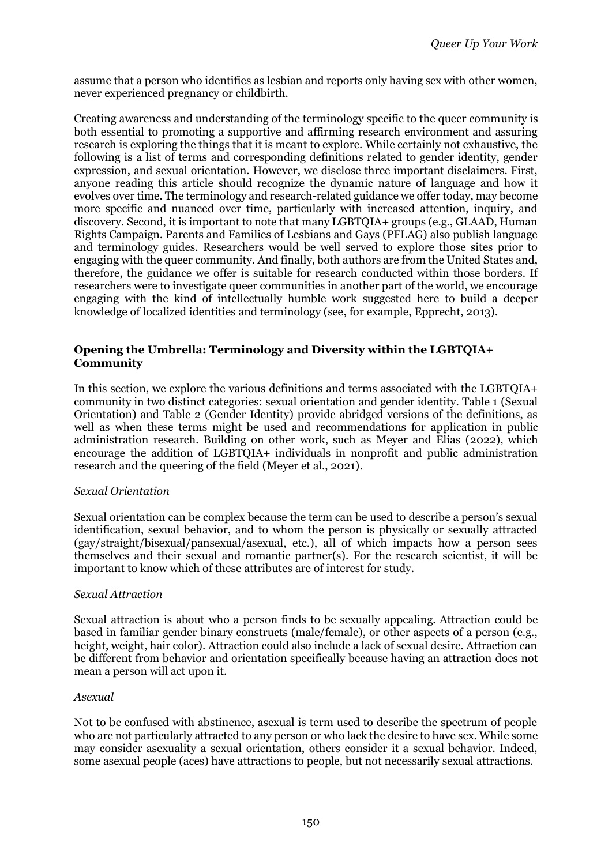assume that a person who identifies as lesbian and reports only having sex with other women, never experienced pregnancy or childbirth.

Creating awareness and understanding of the terminology specific to the queer community is both essential to promoting a supportive and affirming research environment and assuring research is exploring the things that it is meant to explore. While certainly not exhaustive, the following is a list of terms and corresponding definitions related to gender identity, gender expression, and sexual orientation. However, we disclose three important disclaimers. First, anyone reading this article should recognize the dynamic nature of language and how it evolves over time. The terminology and research-related guidance we offer today, may become more specific and nuanced over time, particularly with increased attention, inquiry, and discovery. Second, it is important to note that many LGBTQIA+ groups (e.g., GLAAD, Human Rights Campaign. Parents and Families of Lesbians and Gays (PFLAG) also publish language and terminology guides. Researchers would be well served to explore those sites prior to engaging with the queer community. And finally, both authors are from the United States and, therefore, the guidance we offer is suitable for research conducted within those borders. If researchers were to investigate queer communities in another part of the world, we encourage engaging with the kind of intellectually humble work suggested here to build a deeper knowledge of localized identities and terminology (see, for example, Epprecht, 2013).

## **Opening the Umbrella: Terminology and Diversity within the LGBTQIA+ Community**

In this section, we explore the various definitions and terms associated with the LGBTQIA+ community in two distinct categories: sexual orientation and gender identity. Table 1 (Sexual Orientation) and Table 2 (Gender Identity) provide abridged versions of the definitions, as well as when these terms might be used and recommendations for application in public administration research. Building on other work, such as Meyer and Elias (2022), which encourage the addition of LGBTQIA+ individuals in nonprofit and public administration research and the queering of the field (Meyer et al., 2021).

## *Sexual Orientation*

Sexual orientation can be complex because the term can be used to describe a person's sexual identification, sexual behavior, and to whom the person is physically or sexually attracted (gay/straight/bisexual/pansexual/asexual, etc.), all of which impacts how a person sees themselves and their sexual and romantic partner(s). For the research scientist, it will be important to know which of these attributes are of interest for study.

#### *Sexual Attraction*

Sexual attraction is about who a person finds to be sexually appealing. Attraction could be based in familiar gender binary constructs (male/female), or other aspects of a person (e.g., height, weight, hair color). Attraction could also include a lack of sexual desire. Attraction can be different from behavior and orientation specifically because having an attraction does not mean a person will act upon it.

#### *Asexual*

Not to be confused with abstinence, asexual is term used to describe the spectrum of people who are not particularly attracted to any person or who lack the desire to have sex. While some may consider asexuality a sexual orientation, others consider it a sexual behavior. Indeed, some asexual people (aces) have attractions to people, but not necessarily sexual attractions.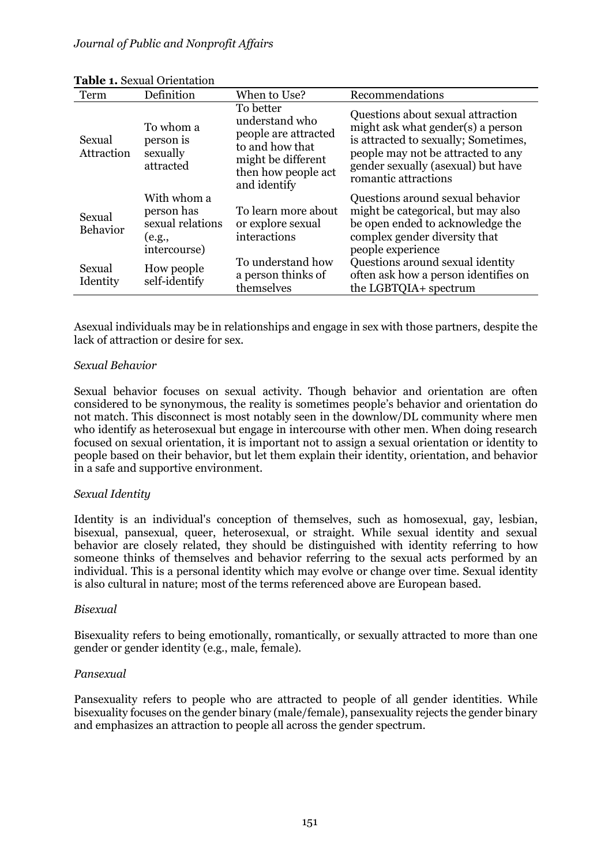| Term                 | Definition                                                              | When to Use?                                                                                                                        | Recommendations                                                                                                                                                                                                    |
|----------------------|-------------------------------------------------------------------------|-------------------------------------------------------------------------------------------------------------------------------------|--------------------------------------------------------------------------------------------------------------------------------------------------------------------------------------------------------------------|
| Sexual<br>Attraction | To whom a<br>person is<br>sexually<br>attracted                         | To better<br>understand who<br>people are attracted<br>to and how that<br>might be different<br>then how people act<br>and identify | Questions about sexual attraction<br>might ask what gender(s) a person<br>is attracted to sexually; Sometimes,<br>people may not be attracted to any<br>gender sexually (asexual) but have<br>romantic attractions |
| Sexual<br>Behavior   | With whom a<br>person has<br>sexual relations<br>(e.g.,<br>intercourse) | To learn more about<br>or explore sexual<br>interactions                                                                            | Questions around sexual behavior<br>might be categorical, but may also<br>be open ended to acknowledge the<br>complex gender diversity that<br>people experience                                                   |
| Sexual<br>Identity   | How people<br>self-identify                                             | To understand how<br>a person thinks of<br>themselves                                                                               | Questions around sexual identity<br>often ask how a person identifies on<br>the LGBTQIA+ spectrum                                                                                                                  |

#### **Table 1.** Sexual Orientation

Asexual individuals may be in relationships and engage in sex with those partners, despite the lack of attraction or desire for sex.

#### *Sexual Behavior*

Sexual behavior focuses on sexual activity. Though behavior and orientation are often considered to be synonymous, the reality is sometimes people's behavior and orientation do not match. This disconnect is most notably seen in the downlow/DL community where men who identify as heterosexual but engage in intercourse with other men. When doing research focused on sexual orientation, it is important not to assign a sexual orientation or identity to people based on their behavior, but let them explain their identity, orientation, and behavior in a safe and supportive environment.

## *Sexual Identity*

Identity is an individual's conception of themselves, such as homosexual, gay, lesbian, bisexual, pansexual, queer, heterosexual, or straight. While sexual identity and sexual behavior are closely related, they should be distinguished with identity referring to how someone thinks of themselves and behavior referring to the sexual acts performed by an individual. This is a personal identity which may evolve or change over time. Sexual identity is also cultural in nature; most of the terms referenced above are European based.

#### *Bisexual*

Bisexuality refers to being emotionally, romantically, or sexually attracted to more than one gender or gender identity (e.g., male, female).

## *Pansexual*

Pansexuality refers to people who are attracted to people of all gender identities. While bisexuality focuses on the gender binary (male/female), pansexuality rejects the gender binary and emphasizes an attraction to people all across the gender spectrum.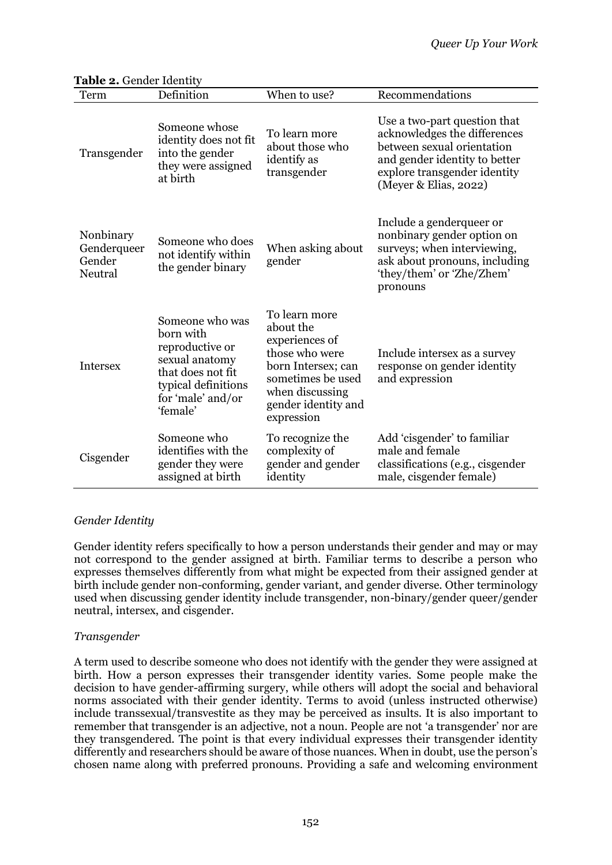| Term                                          | Definition                                                                                                                                     | When to use?                                                                                                                                                      | Recommendations                                                                                                                                                                      |
|-----------------------------------------------|------------------------------------------------------------------------------------------------------------------------------------------------|-------------------------------------------------------------------------------------------------------------------------------------------------------------------|--------------------------------------------------------------------------------------------------------------------------------------------------------------------------------------|
| Transgender                                   | Someone whose<br>identity does not fit<br>into the gender<br>they were assigned<br>at birth                                                    | To learn more<br>about those who<br>identify as<br>transgender                                                                                                    | Use a two-part question that<br>acknowledges the differences<br>between sexual orientation<br>and gender identity to better<br>explore transgender identity<br>(Meyer & Elias, 2022) |
| Nonbinary<br>Genderqueer<br>Gender<br>Neutral | Someone who does<br>not identify within<br>the gender binary                                                                                   | When asking about<br>gender                                                                                                                                       | Include a genderqueer or<br>nonbinary gender option on<br>surveys; when interviewing,<br>ask about pronouns, including<br>'they/them' or 'Zhe/Zhem'<br>pronouns                      |
| <b>Intersex</b>                               | Someone who was<br>born with<br>reproductive or<br>sexual anatomy<br>that does not fit<br>typical definitions<br>for 'male' and/or<br>'female' | To learn more<br>about the<br>experiences of<br>those who were<br>born Intersex; can<br>sometimes be used<br>when discussing<br>gender identity and<br>expression | Include intersex as a survey<br>response on gender identity<br>and expression                                                                                                        |
| Cisgender                                     | Someone who<br>identifies with the<br>gender they were<br>assigned at birth                                                                    | To recognize the<br>complexity of<br>gender and gender<br>identity                                                                                                | Add 'cisgender' to familiar<br>male and female<br>classifications (e.g., cisgender<br>male, cisgender female)                                                                        |

## Table 2. Gender Identity

## *Gender Identity*

Gender identity refers specifically to how a person understands their gender and may or may not correspond to the gender assigned at birth. Familiar terms to describe a person who expresses themselves differently from what might be expected from their assigned gender at birth include gender non-conforming, gender variant, and gender diverse. Other terminology used when discussing gender identity include transgender, non-binary/gender queer/gender neutral, intersex, and cisgender.

## *Transgender*

A term used to describe someone who does not identify with the gender they were assigned at birth. How a person expresses their transgender identity varies. Some people make the decision to have gender-affirming surgery, while others will adopt the social and behavioral norms associated with their gender identity. Terms to avoid (unless instructed otherwise) include transsexual/transvestite as they may be perceived as insults. It is also important to remember that transgender is an adjective, not a noun. People are not 'a transgender' nor are they transgendered. The point is that every individual expresses their transgender identity differently and researchers should be aware of those nuances. When in doubt, use the person's chosen name along with preferred pronouns. Providing a safe and welcoming environment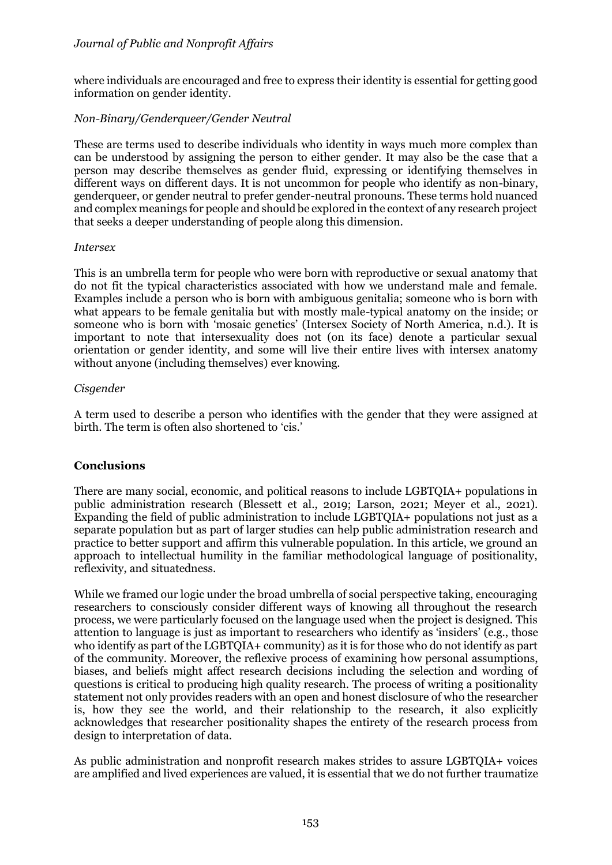## *Journal of Public and Nonprofit Affairs*

where individuals are encouraged and free to express their identity is essential for getting good information on gender identity.

## *Non-Binary/Genderqueer/Gender Neutral*

These are terms used to describe individuals who identity in ways much more complex than can be understood by assigning the person to either gender. It may also be the case that a person may describe themselves as gender fluid, expressing or identifying themselves in different ways on different days. It is not uncommon for people who identify as non-binary, genderqueer, or gender neutral to prefer gender-neutral pronouns. These terms hold nuanced and complex meanings for people and should be explored in the context of any research project that seeks a deeper understanding of people along this dimension.

#### *Intersex*

This is an umbrella term for people who were born with reproductive or sexual anatomy that do not fit the typical characteristics associated with how we understand male and female. Examples include a person who is born with ambiguous genitalia; someone who is born with what appears to be female genitalia but with mostly male-typical anatomy on the inside; or someone who is born with 'mosaic genetics' (Intersex Society of North America, n.d.). It is important to note that intersexuality does not (on its face) denote a particular sexual orientation or gender identity, and some will live their entire lives with intersex anatomy without anyone (including themselves) ever knowing.

#### *Cisgender*

A term used to describe a person who identifies with the gender that they were assigned at birth. The term is often also shortened to 'cis.'

## **Conclusions**

There are many social, economic, and political reasons to include LGBTQIA+ populations in public administration research (Blessett et al., 2019; Larson, 2021; Meyer et al., 2021). Expanding the field of public administration to include LGBTQIA+ populations not just as a separate population but as part of larger studies can help public administration research and practice to better support and affirm this vulnerable population. In this article, we ground an approach to intellectual humility in the familiar methodological language of positionality, reflexivity, and situatedness.

While we framed our logic under the broad umbrella of social perspective taking, encouraging researchers to consciously consider different ways of knowing all throughout the research process, we were particularly focused on the language used when the project is designed. This attention to language is just as important to researchers who identify as 'insiders' (e.g., those who identify as part of the LGBTQIA+ community) as it is for those who do not identify as part of the community. Moreover, the reflexive process of examining how personal assumptions, biases, and beliefs might affect research decisions including the selection and wording of questions is critical to producing high quality research. The process of writing a positionality statement not only provides readers with an open and honest disclosure of who the researcher is, how they see the world, and their relationship to the research, it also explicitly acknowledges that researcher positionality shapes the entirety of the research process from design to interpretation of data.

As public administration and nonprofit research makes strides to assure LGBTQIA+ voices are amplified and lived experiences are valued, it is essential that we do not further traumatize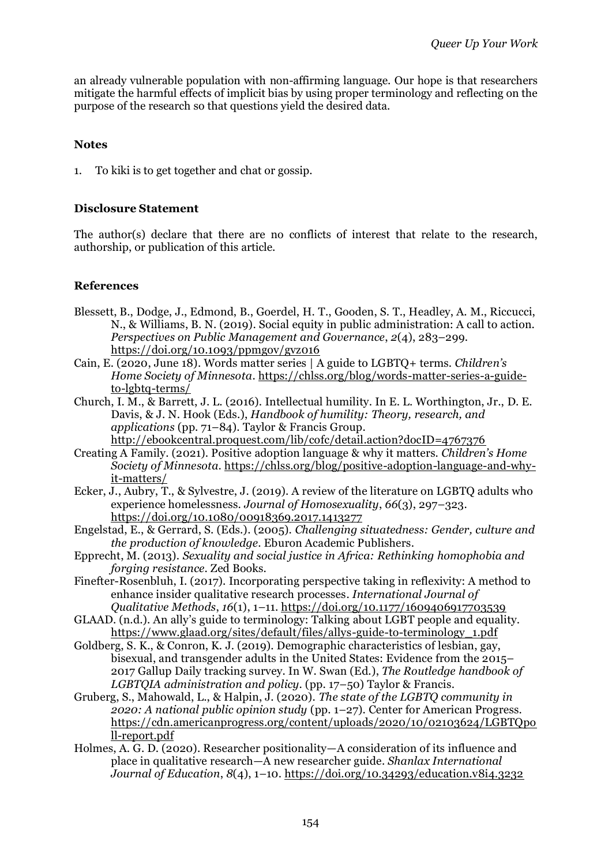an already vulnerable population with non-affirming language. Our hope is that researchers mitigate the harmful effects of implicit bias by using proper terminology and reflecting on the purpose of the research so that questions yield the desired data.

# **Notes**

1. To kiki is to get together and chat or gossip.

# **Disclosure Statement**

The author(s) declare that there are no conflicts of interest that relate to the research, authorship, or publication of this article.

# **References**

- Blessett, B., Dodge, J., Edmond, B., Goerdel, H. T., Gooden, S. T., Headley, A. M., Riccucci, N., & Williams, B. N. (2019). Social equity in public administration: A call to action. *Perspectives on Public Management and Governance*, *2*(4), 283–299. https://doi.org/10.1093/ppmgov/gvz016
- Cain, E. (2020, June 18). Words matter series | A guide to LGBTQ+ terms. *Children's Home Society of Minnesota*. https://chlss.org/blog/words-matter-series-a-guideto-lgbtq-terms/
- Church, I. M., & Barrett, J. L. (2016). Intellectual humility. In E. L. Worthington, Jr., D. E. Davis, & J. N. Hook (Eds.), *Handbook of humility: Theory, research, and applications* (pp. 71–84). Taylor & Francis Group. http://ebookcentral.proquest.com/lib/cofc/detail.action?docID=4767376
- Creating A Family. (2021). Positive adoption language & why it matters. *Children's Home Society of Minnesota*. [https://chlss.org/blog/positive-adoption-language-and-why](https://chlss.org/blog/positive-adoption-language-and-why-it-matters/)[it-matters/](https://chlss.org/blog/positive-adoption-language-and-why-it-matters/)
- Ecker, J., Aubry, T., & Sylvestre, J. (2019). A review of the literature on LGBTO adults who experience homelessness. *Journal of Homosexuality*, *66*(3), 297–323. <https://doi.org/10.1080/00918369.2017.1413277>
- Engelstad, E., & Gerrard, S. (Eds.). (2005). *Challenging situatedness: Gender, culture and the production of knowledge*. Eburon Academic Publishers.
- Epprecht, M. (2013). *Sexuality and social justice in Africa: Rethinking homophobia and forging resistance*. Zed Books.
- Finefter-Rosenbluh, I. (2017). Incorporating perspective taking in reflexivity: A method to enhance insider qualitative research processes. *International Journal of Qualitative Methods*, *16*(1), 1–11. https://doi.org/10.1177/1609406917703539
- GLAAD. (n.d.). An ally's guide to terminology: Talking about LGBT people and equality. [https://www.glaad.org/sites/default/files/allys-guide-to-terminology\\_1.pdf](https://www.glaad.org/sites/default/files/allys-guide-to-terminology_1.pdf)
- Goldberg, S. K., & Conron, K. J. (2019). Demographic characteristics of lesbian, gay, bisexual, and transgender adults in the United States: Evidence from the 2015– 2017 Gallup Daily tracking survey. In W. Swan (Ed.), *The Routledge handbook of LGBTQIA administration and policy*. (pp. 17–50) Taylor & Francis.
- Gruberg, S., Mahowald, L., & Halpin, J. (2020). *The state of the LGBTQ community in 2020: A national public opinion study* (pp. 1–27). Center for American Progress. [https://cdn.americanprogress.org/content/uploads/2020/10/02103624/LGBTQpo](https://cdn.americanprogress.org/content/uploads/2020/10/02103624/LGBTQpoll-report.pdf) [ll-report.pdf](https://cdn.americanprogress.org/content/uploads/2020/10/02103624/LGBTQpoll-report.pdf)
- Holmes, A. G. D. (2020). Researcher positionality—A consideration of its influence and place in qualitative research—A new researcher guide. *Shanlax International Journal of Education*, *8*(4), 1–10.<https://doi.org/10.34293/education.v8i4.3232>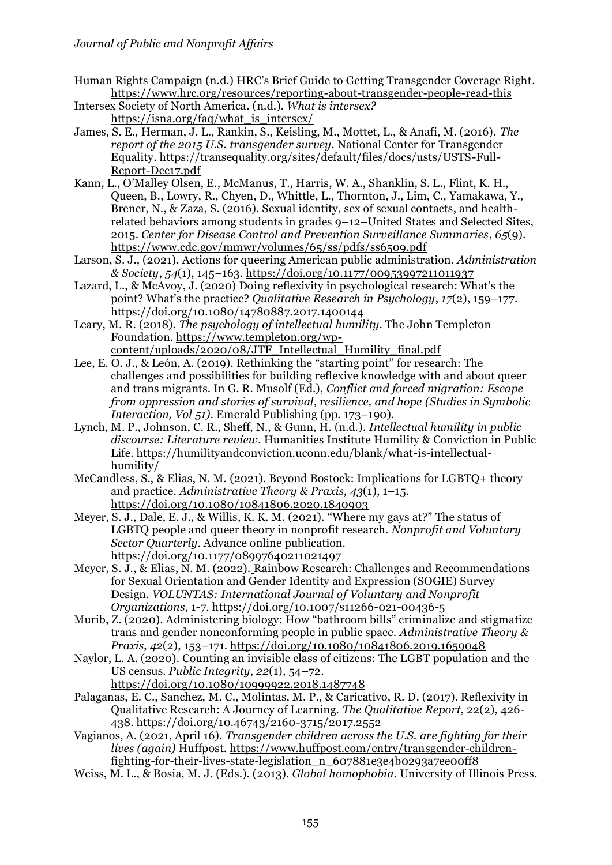- Human Rights Campaign (n.d.) HRC's Brief Guide to Getting Transgender Coverage Right. https://www.hrc.org/resources/reporting-about-transgender-people-read-this
- Intersex Society of North America. (n.d.). *What is intersex?* [https://isna.org/faq/what\\_is\\_intersex/](https://isna.org/faq/what_is_intersex/)
- James, S. E., Herman, J. L., Rankin, S., Keisling, M., Mottet, L., & Anafi, M. (2016). *The report of the 2015 U.S. transgender survey*. National Center for Transgender Equality. [https://transequality.org/sites/default/files/docs/usts/USTS-Full-](https://transequality.org/sites/default/files/docs/usts/USTS-Full-Report-Dec17.pdf)[Report-Dec17.pdf](https://transequality.org/sites/default/files/docs/usts/USTS-Full-Report-Dec17.pdf)
- Kann, L., O'Malley Olsen, E., McManus, T., Harris, W. A., Shanklin, S. L., Flint, K. H., Queen, B., Lowry, R., Chyen, D., Whittle, L., Thornton, J., Lim, C., Yamakawa, Y., Brener, N., & Zaza, S. (2016). Sexual identity, sex of sexual contacts, and healthrelated behaviors among students in grades 9–12–United States and Selected Sites, 2015. *Center for Disease Control and Prevention Surveillance Summaries*, *65*(9). <https://www.cdc.gov/mmwr/volumes/65/ss/pdfs/ss6509.pdf>
- Larson, S. J., (2021). Actions for queering American public administration. *Administration & Society*, *54*(1), 145–163.<https://doi.org/10.1177/00953997211011937>
- Lazard, L., & McAvoy, J. (2020) Doing reflexivity in psychological research: What's the point? What's the practice? *Qualitative Research in Psychology*, *17*(2), 159–177. https://doi.org/10.1080/14780887.2017.1400144
- Leary, M. R. (2018). *The psychology of intellectual humility*. The John Templeton Foundation. [https://www.templeton.org/wp](https://www.templeton.org/wp-content/uploads/2020/08/JTF_Intellectual_Humility_final.pdf)[content/uploads/2020/08/JTF\\_Intellectual\\_Humility\\_final.pdf](https://www.templeton.org/wp-content/uploads/2020/08/JTF_Intellectual_Humility_final.pdf)
- Lee, E. O. J., & León, A. (2019). Rethinking the "starting point" for research: The challenges and possibilities for building reflexive knowledge with and about queer and trans migrants. In G. R. Musolf (Ed.), *Conflict and forced migration: Escape from oppression and stories of survival, resilience, and hope (Studies in Symbolic Interaction, Vol 51)*. Emerald Publishing (pp. 173–190).
- Lynch, M. P., Johnson, C. R., Sheff, N., & Gunn, H. (n.d.). *Intellectual humility in public discourse: Literature review*. Humanities Institute Humility & Conviction in Public Life. [https://humilityandconviction.uconn.edu/blank/what-is-intellectual](https://humilityandconviction.uconn.edu/blank/what-is-intellectual-humility/)[humility/](https://humilityandconviction.uconn.edu/blank/what-is-intellectual-humility/)
- McCandless, S., & Elias, N. M. (2021). Beyond Bostock: Implications for LGBTQ+ theory and practice. *Administrative Theory & Praxis, 43*(1), 1–15. https://doi.org/10.1080/10841806.2020.1840903
- Meyer, S. J., Dale, E. J., & Willis, K. K. M. (2021). "Where my gays at?" The status of LGBTQ people and queer theory in nonprofit research. *Nonprofit and Voluntary Sector Quarterly*. Advance online publication. <https://doi.org/10.1177/08997640211021497>
- Meyer, S. J., & Elias, N. M. (2022). Rainbow Research: Challenges and Recommendations for Sexual Orientation and Gender Identity and Expression (SOGIE) Survey Design. *VOLUNTAS: International Journal of Voluntary and Nonprofit Organizations*, 1-7.<https://doi.org/10.1007/s11266-021-00436-5>
- Murib, Z. (2020). Administering biology: How "bathroom bills" criminalize and stigmatize trans and gender nonconforming people in public space. *Administrative Theory & Praxis*, *42*(2), 153–171.<https://doi.org/10.1080/10841806.2019.1659048>
- Naylor, L. A. (2020). Counting an invisible class of citizens: The LGBT population and the US census. *Public Integrity*, *22*(1), 54–72. <https://doi.org/10.1080/10999922.2018.1487748>
- Palaganas, E. C., Sanchez, M. C., Molintas, M. P., & Caricativo, R. D. (2017). Reflexivity in Qualitative Research: A Journey of Learning. *The Qualitative Report*, 22(2), 426- 438. https://doi.org/10.46743/2160-3715/2017.2552
- Vagianos, A. (2021, April 16). *Transgender children across the U.S. are fighting for their lives (again)* Huffpost. [https://www.huffpost.com/entry/transgender-children](https://www.huffpost.com/entry/transgender-children-fighting-for-their-lives-state-legislation_n_607881e3e4b0293a7ee00ff8)[fighting-for-their-lives-state-legislation\\_n\\_607881e3e4b0293a7ee00ff8](https://www.huffpost.com/entry/transgender-children-fighting-for-their-lives-state-legislation_n_607881e3e4b0293a7ee00ff8)
- Weiss, M. L., & Bosia, M. J. (Eds.). (2013). *Global homophobia*. University of Illinois Press.